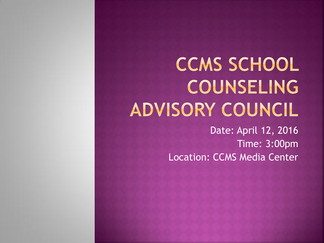# **CCMS SCHOOL** COUNSELING ADVISORY COUNCIL

Date: April 12, 2016 Time: 3:00pm Location: CCMS Media Center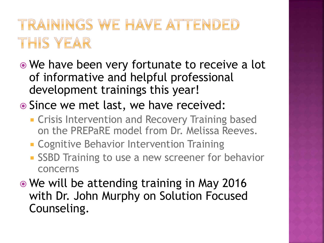### TRAININGS WE HAVE ATTENDED THIS YEAR

- We have been very fortunate to receive a lot of informative and helpful professional development trainings this year!
- Since we met last, we have received:
	- **EXTERGHT Crisis Intervention and Recovery Training based** on the PREPaRE model from Dr. Melissa Reeves.
	- **EXCOGNITIVE Behavior Intervention Training**
	- **SSBD Training to use a new screener for behavior** concerns
- We will be attending training in May 2016 with Dr. John Murphy on Solution Focused Counseling.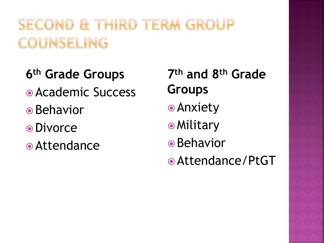## SECOND & THIRD TERM GROUP COUNSELING

**6 th Grade Groups** Academic Success **■**Behavior Divorce Attendance

**7 th and 8th Grade Groups** Anxiety **•Military ■**Behavior Attendance/PtGT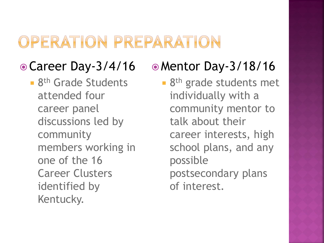### OPERATION PREPARATION

### Career Day-3/4/16

**8th Grade Students** attended four career panel discussions led by community members working in one of the 16 Career Clusters identified by Kentucky.

### Mentor Day-3/18/16

■ 8<sup>th</sup> grade students met individually with a community mentor to talk about their career interests, high school plans, and any possible postsecondary plans of interest.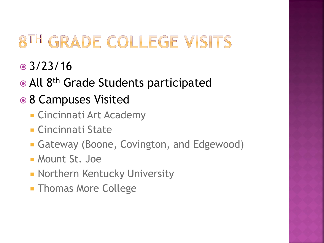## GRADE COLLEGE VISITS

- 3/23/16
- All 8<sup>th</sup> Grade Students participated
- 8 Campuses Visited
	- Cincinnati Art Academy
	- Cincinnati State
	- Gateway (Boone, Covington, and Edgewood)
	- Mount St. Joe
	- **Northern Kentucky University**
	- **Thomas More College**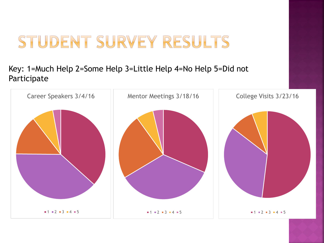## STUDENT SURVEY RESULTS

#### Key: 1=Much Help 2=Some Help 3=Little Help 4=No Help 5=Did not Participate

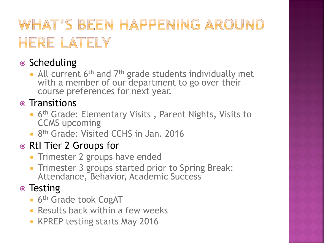## WHAT'S BEEN HAPPENING AROUND HERE LATELY

### ● Scheduling

All current 6<sup>th</sup> and 7<sup>th</sup> grade students individually met with a member of our department to go over their course preferences for next year.

• Transitions

- **6<sup>th</sup> Grade: Elementary Visits, Parent Nights, Visits to** CCMS upcoming
- **8th Grade: Visited CCHS in Jan. 2016**

### ● RtI Tier 2 Groups for

- **Trimester 2 groups have ended**
- **Trimester 3 groups started prior to Spring Break:** Attendance, Behavior, Academic Success

### • Testing

- **6th Grade took CogAT**
- **Results back within a few weeks**
- **KPREP testing starts May 2016**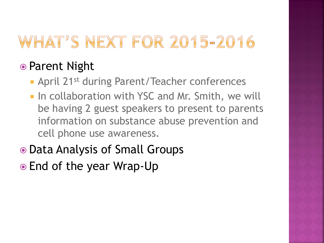## WHAT'S NEXT FOR 2015-2016

### ● Parent Night

- **April 21st during Parent/Teacher conferences**
- **In collaboration with YSC and Mr. Smith, we will** be having 2 guest speakers to present to parents information on substance abuse prevention and cell phone use awareness.
- Data Analysis of Small Groups
- End of the year Wrap-Up